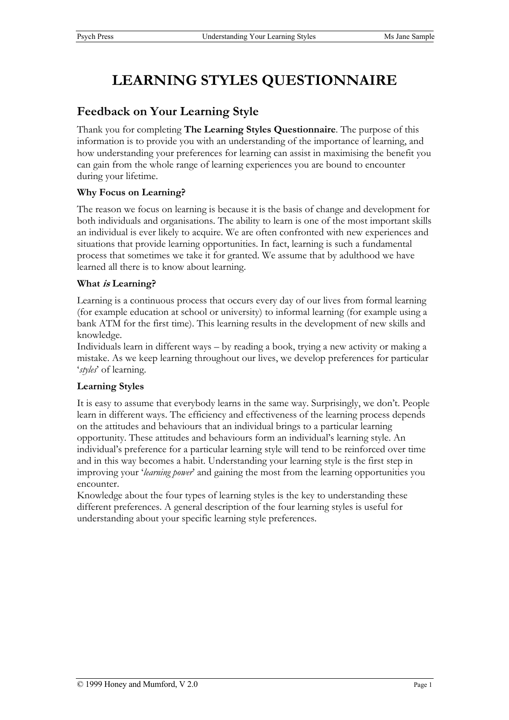# **LEARNING STYLES QUESTIONNAIRE**

### **Feedback on Your Learning Style**

Thank you for completing **The Learning Styles Questionnaire**. The purpose of this information is to provide you with an understanding of the importance of learning, and how understanding your preferences for learning can assist in maximising the benefit you can gain from the whole range of learning experiences you are bound to encounter during your lifetime.

### **Why Focus on Learning?**

The reason we focus on learning is because it is the basis of change and development for both individuals and organisations. The ability to learn is one of the most important skills an individual is ever likely to acquire. We are often confronted with new experiences and situations that provide learning opportunities. In fact, learning is such a fundamental process that sometimes we take it for granted. We assume that by adulthood we have learned all there is to know about learning.

### **What is Learning?**

Learning is a continuous process that occurs every day of our lives from formal learning (for example education at school or university) to informal learning (for example using a bank ATM for the first time). This learning results in the development of new skills and knowledge.

Individuals learn in different ways – by reading a book, trying a new activity or making a mistake. As we keep learning throughout our lives, we develop preferences for particular '*styles*' of learning.

### **Learning Styles**

It is easy to assume that everybody learns in the same way. Surprisingly, we don't. People learn in different ways. The efficiency and effectiveness of the learning process depends on the attitudes and behaviours that an individual brings to a particular learning opportunity. These attitudes and behaviours form an individual's learning style. An individual's preference for a particular learning style will tend to be reinforced over time and in this way becomes a habit. Understanding your learning style is the first step in improving your '*learning power*' and gaining the most from the learning opportunities you encounter.

Knowledge about the four types of learning styles is the key to understanding these different preferences. A general description of the four learning styles is useful for understanding about your specific learning style preferences.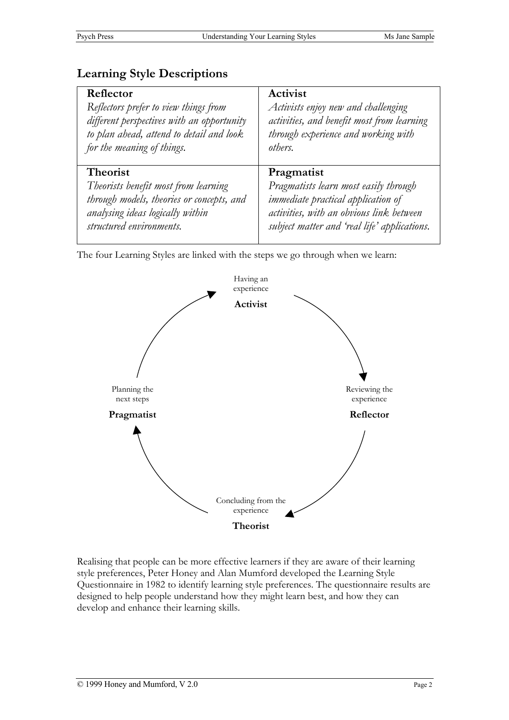### **Learning Style Descriptions**

| Reflector                                  | Activist                                     |
|--------------------------------------------|----------------------------------------------|
| Reflectors prefer to view things from      | Activists enjoy new and challenging          |
| different perspectives with an opportunity | activities, and benefit most from learning   |
| to plan ahead, attend to detail and look   | through experience and working with          |
| for the meaning of things.                 | others.                                      |
| <b>Theorist</b>                            | Pragmatist                                   |
| Theorists benefit most from learning       | Pragmatists learn most easily through        |
| through models, theories or concepts, and  | <i>immediate practical application of</i>    |
| analysing ideas logically within           | activities, with an obvious link between     |
| structured environments.                   | subject matter and 'real life' applications. |

The four Learning Styles are linked with the steps we go through when we learn:



Realising that people can be more effective learners if they are aware of their learning style preferences, Peter Honey and Alan Mumford developed the Learning Style Questionnaire in 1982 to identify learning style preferences. The questionnaire results are designed to help people understand how they might learn best, and how they can develop and enhance their learning skills.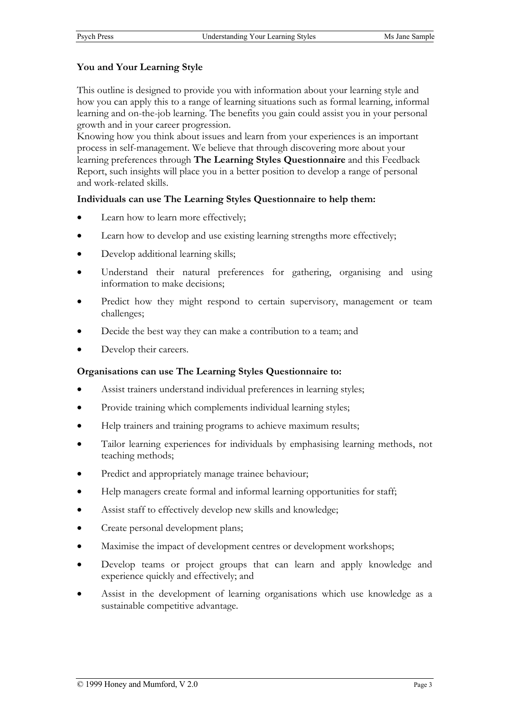#### **You and Your Learning Style**

This outline is designed to provide you with information about your learning style and how you can apply this to a range of learning situations such as formal learning, informal learning and on-the-job learning. The benefits you gain could assist you in your personal growth and in your career progression.

Knowing how you think about issues and learn from your experiences is an important process in self-management. We believe that through discovering more about your learning preferences through **The Learning Styles Questionnaire** and this Feedback Report, such insights will place you in a better position to develop a range of personal and work-related skills.

#### **Individuals can use The Learning Styles Questionnaire to help them:**

- Learn how to learn more effectively;
- Learn how to develop and use existing learning strengths more effectively;
- Develop additional learning skills;
- Understand their natural preferences for gathering, organising and using information to make decisions;
- Predict how they might respond to certain supervisory, management or team challenges;
- Decide the best way they can make a contribution to a team; and
- Develop their careers.

#### **Organisations can use The Learning Styles Questionnaire to:**

- Assist trainers understand individual preferences in learning styles;
- Provide training which complements individual learning styles;
- Help trainers and training programs to achieve maximum results;
- Tailor learning experiences for individuals by emphasising learning methods, not teaching methods;
- Predict and appropriately manage trainee behaviour;
- Help managers create formal and informal learning opportunities for staff;
- Assist staff to effectively develop new skills and knowledge;
- Create personal development plans;
- Maximise the impact of development centres or development workshops;
- Develop teams or project groups that can learn and apply knowledge and experience quickly and effectively; and
- Assist in the development of learning organisations which use knowledge as a sustainable competitive advantage.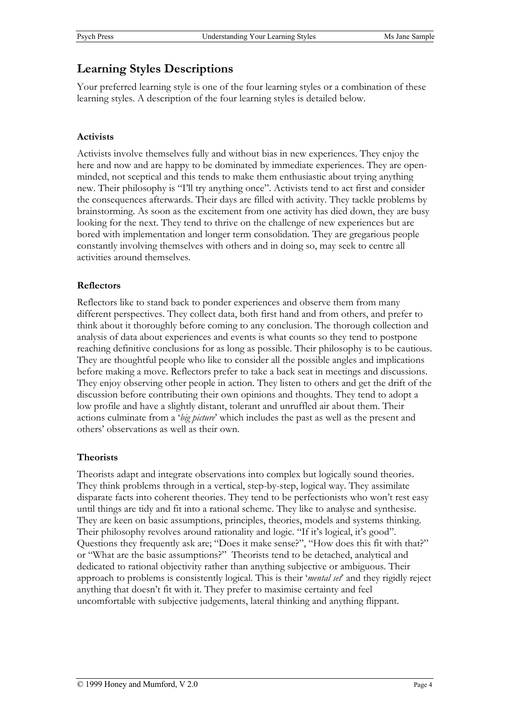### **Learning Styles Descriptions**

Your preferred learning style is one of the four learning styles or a combination of these learning styles. A description of the four learning styles is detailed below.

### **Activists**

Activists involve themselves fully and without bias in new experiences. They enjoy the here and now and are happy to be dominated by immediate experiences. They are openminded, not sceptical and this tends to make them enthusiastic about trying anything new. Their philosophy is "I'll try anything once". Activists tend to act first and consider the consequences afterwards. Their days are filled with activity. They tackle problems by brainstorming. As soon as the excitement from one activity has died down, they are busy looking for the next. They tend to thrive on the challenge of new experiences but are bored with implementation and longer term consolidation. They are gregarious people constantly involving themselves with others and in doing so, may seek to centre all activities around themselves.

### **Reflectors**

Reflectors like to stand back to ponder experiences and observe them from many different perspectives. They collect data, both first hand and from others, and prefer to think about it thoroughly before coming to any conclusion. The thorough collection and analysis of data about experiences and events is what counts so they tend to postpone reaching definitive conclusions for as long as possible. Their philosophy is to be cautious. They are thoughtful people who like to consider all the possible angles and implications before making a move. Reflectors prefer to take a back seat in meetings and discussions. They enjoy observing other people in action. They listen to others and get the drift of the discussion before contributing their own opinions and thoughts. They tend to adopt a low profile and have a slightly distant, tolerant and unruffled air about them. Their actions culminate from a '*big picture*' which includes the past as well as the present and others' observations as well as their own.

### **Theorists**

Theorists adapt and integrate observations into complex but logically sound theories. They think problems through in a vertical, step-by-step, logical way. They assimilate disparate facts into coherent theories. They tend to be perfectionists who won't rest easy until things are tidy and fit into a rational scheme. They like to analyse and synthesise. They are keen on basic assumptions, principles, theories, models and systems thinking. Their philosophy revolves around rationality and logic. "If it's logical, it's good". Questions they frequently ask are; "Does it make sense?", "How does this fit with that?" or "What are the basic assumptions?" Theorists tend to be detached, analytical and dedicated to rational objectivity rather than anything subjective or ambiguous. Their approach to problems is consistently logical. This is their '*mental set*' and they rigidly reject anything that doesn't fit with it. They prefer to maximise certainty and feel uncomfortable with subjective judgements, lateral thinking and anything flippant.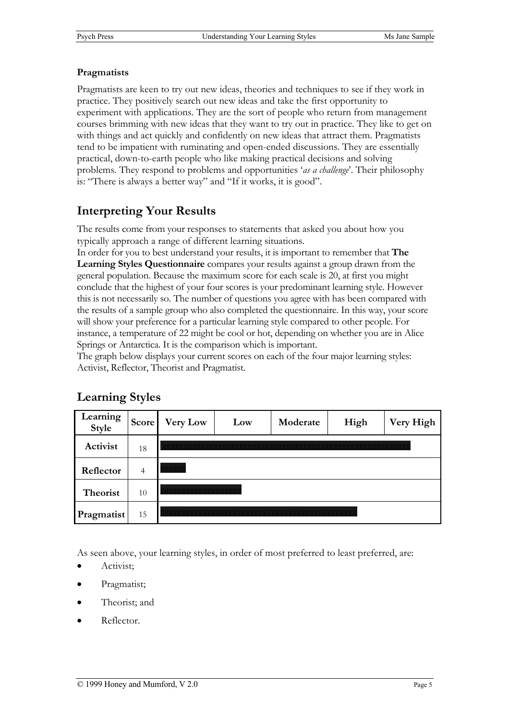### **Pragmatists**

Pragmatists are keen to try out new ideas, theories and techniques to see if they work in practice. They positively search out new ideas and take the first opportunity to experiment with applications. They are the sort of people who return from management courses brimming with new ideas that they want to try out in practice. They like to get on with things and act quickly and confidently on new ideas that attract them. Pragmatists tend to be impatient with ruminating and open-ended discussions. They are essentially practical, down-to-earth people who like making practical decisions and solving problems. They respond to problems and opportunities '*as a challenge*'. Their philosophy is: "There is always a better way" and "If it works, it is good".

# **Interpreting Your Results**

The results come from your responses to statements that asked you about how you typically approach a range of different learning situations.

In order for you to best understand your results, it is important to remember that **The Learning Styles Questionnaire** compares your results against a group drawn from the general population. Because the maximum score for each scale is 20, at first you might conclude that the highest of your four scores is your predominant learning style. However this is not necessarily so. The number of questions you agree with has been compared with the results of a sample group who also completed the questionnaire. In this way, your score will show your preference for a particular learning style compared to other people. For instance, a temperature of 22 might be cool or hot, depending on whether you are in Alice Springs or Antarctica. It is the comparison which is important.

The graph below displays your current scores on each of the four major learning styles: Activist, Reflector, Theorist and Pragmatist.

| Learning<br><b>Style</b> | Score | <b>Very Low</b> | Low | Moderate | High | Very High |  |
|--------------------------|-------|-----------------|-----|----------|------|-----------|--|
| Activist                 | 18    |                 |     |          |      |           |  |
| Reflector                | 4     | 0000            |     |          |      |           |  |
| Theorist                 | 10    |                 |     |          |      |           |  |
| Pragmatist               | 15    |                 |     |          |      |           |  |

# **Learning Styles**

As seen above, your learning styles, in order of most preferred to least preferred, are:

- Activist;
- Pragmatist;
- Theorist: and
- Reflector.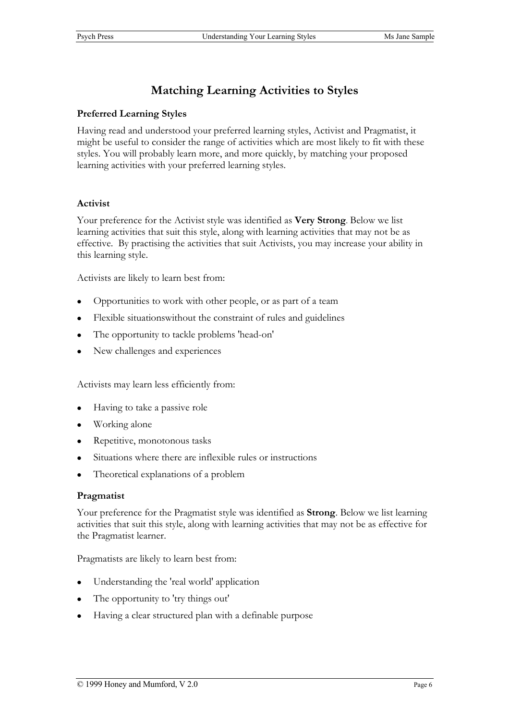# **Matching Learning Activities to Styles**

### **Preferred Learning Styles**

Having read and understood your preferred learning styles, Activist and Pragmatist, it might be useful to consider the range of activities which are most likely to fit with these styles. You will probably learn more, and more quickly, by matching your proposed learning activities with your preferred learning styles.

### **Activist**

Your preference for the Activist style was identified as **Very Strong**. Below we list learning activities that suit this style, along with learning activities that may not be as effective. By practising the activities that suit Activists, you may increase your ability in this learning style.

Activists are likely to learn best from:

- Opportunities to work with other people, or as part of a team
- Flexible situations without the constraint of rules and guidelines
- The opportunity to tackle problems 'head-on'
- New challenges and experiences

Activists may learn less efficiently from:

- Having to take a passive role
- Working alone
- Repetitive, monotonous tasks
- Situations where there are inflexible rules or instructions
- Theoretical explanations of a problem

#### **Pragmatist**

Your preference for the Pragmatist style was identified as **Strong**. Below we list learning activities that suit this style, along with learning activities that may not be as effective for the Pragmatist learner.

Pragmatists are likely to learn best from:

- Understanding the 'real world' application
- The opportunity to 'try things out'
- Having a clear structured plan with a definable purpose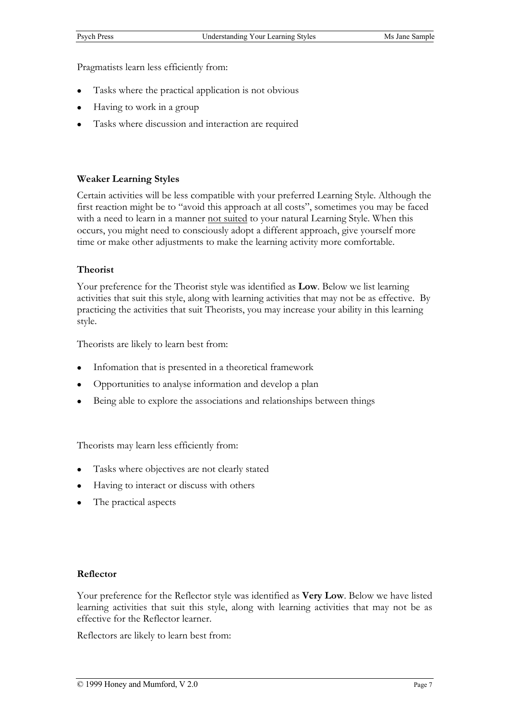Pragmatists learn less efficiently from:

- Tasks where the practical application is not obvious
- Having to work in a group
- Tasks where discussion and interaction are required

#### **Weaker Learning Styles**

Certain activities will be less compatible with your preferred Learning Style. Although the first reaction might be to "avoid this approach at all costs", sometimes you may be faced with a need to learn in a manner not suited to your natural Learning Style. When this occurs, you might need to consciously adopt a different approach, give yourself more time or make other adjustments to make the learning activity more comfortable.

#### **Theorist**

Your preference for the Theorist style was identified as **Low**. Below we list learning activities that suit this style, along with learning activities that may not be as effective. By practicing the activities that suit Theorists, you may increase your ability in this learning style.

Theorists are likely to learn best from:

- Infomation that is presented in a theoretical framework
- Opportunities to analyse information and develop a plan
- Being able to explore the associations and relationships between things

Theorists may learn less efficiently from:

- Tasks where objectives are not clearly stated
- Having to interact or discuss with others
- $\bullet$  The practical aspects

#### **Reflector**

Your preference for the Reflector style was identified as **Very Low**. Below we have listed learning activities that suit this style, along with learning activities that may not be as effective for the Reflector learner.

Reflectors are likely to learn best from: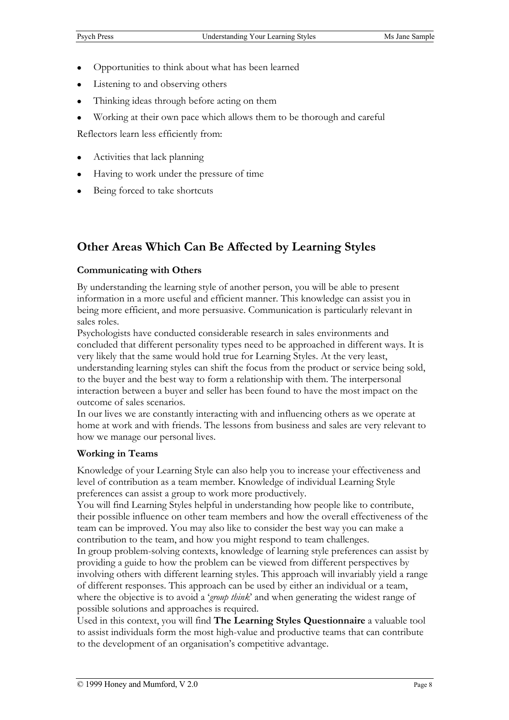- Opportunities to think about what has been learned
- Listening to and observing others
- Thinking ideas through before acting on them
- Working at their own pace which allows them to be thorough and careful

Reflectors learn less efficiently from:

- Activities that lack planning
- Having to work under the pressure of time
- Being forced to take shortcuts

# **Other Areas Which Can Be Affected by Learning Styles**

### **Communicating with Others**

By understanding the learning style of another person, you will be able to present information in a more useful and efficient manner. This knowledge can assist you in being more efficient, and more persuasive. Communication is particularly relevant in sales roles.

Psychologists have conducted considerable research in sales environments and concluded that different personality types need to be approached in different ways. It is very likely that the same would hold true for Learning Styles. At the very least, understanding learning styles can shift the focus from the product or service being sold, to the buyer and the best way to form a relationship with them. The interpersonal interaction between a buyer and seller has been found to have the most impact on the outcome of sales scenarios.

In our lives we are constantly interacting with and influencing others as we operate at home at work and with friends. The lessons from business and sales are very relevant to how we manage our personal lives.

### **Working in Teams**

Knowledge of your Learning Style can also help you to increase your effectiveness and level of contribution as a team member. Knowledge of individual Learning Style preferences can assist a group to work more productively.

You will find Learning Styles helpful in understanding how people like to contribute, their possible influence on other team members and how the overall effectiveness of the team can be improved. You may also like to consider the best way you can make a contribution to the team, and how you might respond to team challenges.

In group problem-solving contexts, knowledge of learning style preferences can assist by providing a guide to how the problem can be viewed from different perspectives by involving others with different learning styles. This approach will invariably yield a range of different responses. This approach can be used by either an individual or a team, where the objective is to avoid a '*group think*' and when generating the widest range of possible solutions and approaches is required.

Used in this context, you will find **The Learning Styles Questionnaire** a valuable tool to assist individuals form the most high-value and productive teams that can contribute to the development of an organisation's competitive advantage.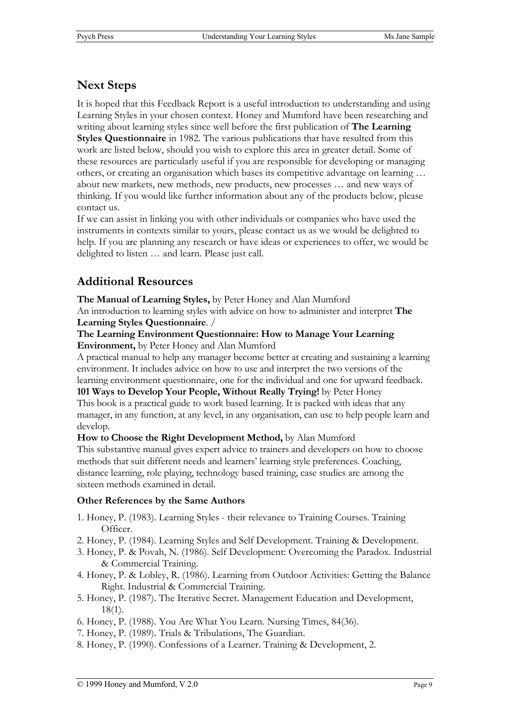# **Next Steps**

It is hoped that this Feedback Report is a useful introduction to understanding and using Learning Styles in your chosen context. Honey and Mumford have been researching and writing about learning styles since well before the first publication of **The Learning Styles Questionnaire** in 1982. The various publications that have resulted from this work are listed below, should you wish to explore this area in greater detail. Some of these resources are particularly useful if you are responsible for developing or managing others, or creating an organisation which bases its competitive advantage on learning … about new markets, new methods, new products, new processes … and new ways of thinking. If you would like further information about any of the products below, please contact us.

If we can assist in linking you with other individuals or companies who have used the instruments in contexts similar to yours, please contact us as we would be delighted to help. If you are planning any research or have ideas or experiences to offer, we would be delighted to listen … and learn. Please just call.

# **Additional Resources**

**The Manual of Learning Styles,** by Peter Honey and Alan Mumford

An introduction to learning styles with advice on how to administer and interpret **The Learning Styles Questionnaire**. /

**The Learning Environment Questionnaire: How to Manage Your Learning Environment,** by Peter Honey and Alan Mumford

A practical manual to help any manager become better at creating and sustaining a learning environment. It includes advice on how to use and interpret the two versions of the learning environment questionnaire, one for the individual and one for upward feedback. **101 Ways to Develop Your People, Without Really Trying!** by Peter Honey

This book is a practical guide to work based learning. It is packed with ideas that any manager, in any function, at any level, in any organisation, can use to help people learn and develop.

**How to Choose the Right Development Method,** by Alan Mumford

This substantive manual gives expert advice to trainers and developers on how to choose methods that suit different needs and learners' learning style preferences. Coaching, distance learning, role playing, technology based training, case studies are among the sixteen methods examined in detail.

### **Other References by the Same Authors**

- 1. Honey, P. (1983). Learning Styles their relevance to Training Courses. Training Officer.
- 2. Honey, P. (1984). Learning Styles and Self Development. Training & Development.
- 3. Honey, P. & Povah, N. (1986). Self Development: Overcoming the Paradox. Industrial & Commercial Training.
- 4. Honey, P. & Lobley, R. (1986). Learning from Outdoor Activities: Getting the Balance Right. Industrial & Commercial Training.
- 5. Honey, P. (1987). The Iterative Secret. Management Education and Development, 18(1).
- 6. Honey, P. (1988). You Are What You Learn. Nursing Times, 84(36).
- 7. Honey, P. (1989). Trials & Tribulations, The Guardian.
- 8. Honey, P. (1990). Confessions of a Learner. Training & Development, 2.